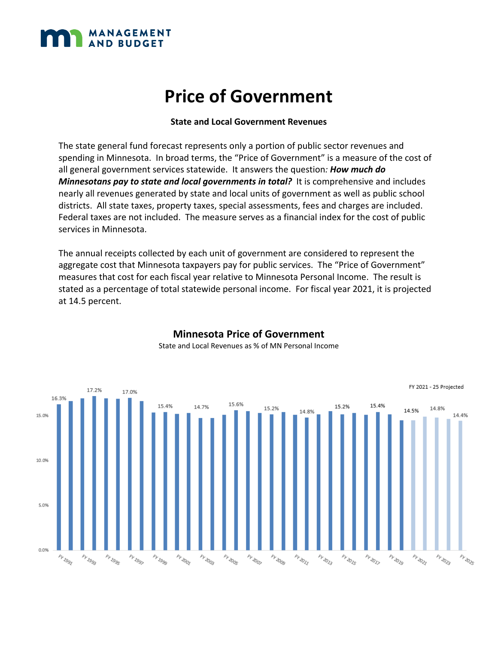

#### **State and Local Government Revenues**

The state general fund forecast represents only a portion of public sector revenues and spending in Minnesota. In broad terms, the "Price of Government" is a measure of the cost of all general government services statewide. It answers the question*: How much do Minnesotans pay to state and local governments in total?* It is comprehensive and includes nearly all revenues generated by state and local units of government as well as public school districts. All state taxes, property taxes, special assessments, fees and charges are included. Federal taxes are not included. The measure serves as a financial index for the cost of public services in Minnesota.

The annual receipts collected by each unit of government are considered to represent the aggregate cost that Minnesota taxpayers pay for public services. The "Price of Government" measures that cost for each fiscal year relative to Minnesota Personal Income. The result is stated as a percentage of total statewide personal income. For fiscal year 2021, it is projected at 14.5 percent.



#### **Minnesota Price of Government**  State and Local Revenues as % of MN Personal Income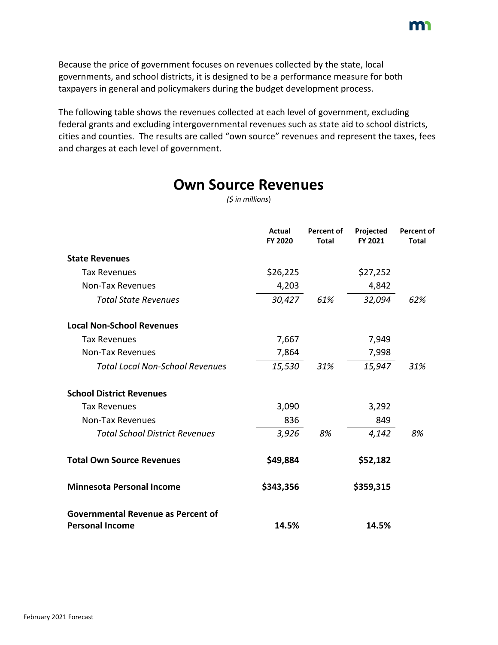Because the price of government focuses on revenues collected by the state, local governments, and school districts, it is designed to be a performance measure for both taxpayers in general and policymakers during the budget development process.

The following table shows the revenues collected at each level of government, excluding federal grants and excluding intergovernmental revenues such as state aid to school districts, cities and counties. The results are called "own source" revenues and represent the taxes, fees and charges at each level of government.

|                  | <b>Own Source Revenues</b> |
|------------------|----------------------------|
| (\$ in millions) |                            |

|                                                                     | <b>Actual</b><br>FY 2020 | <b>Percent of</b><br><b>Total</b> | Projected<br>FY 2021 | <b>Percent of</b><br><b>Total</b> |
|---------------------------------------------------------------------|--------------------------|-----------------------------------|----------------------|-----------------------------------|
| <b>State Revenues</b>                                               |                          |                                   |                      |                                   |
| <b>Tax Revenues</b>                                                 | \$26,225                 |                                   | \$27,252             |                                   |
| <b>Non-Tax Revenues</b>                                             | 4,203                    |                                   | 4,842                |                                   |
| <b>Total State Revenues</b>                                         | 30,427                   | 61%                               | 32,094               | 62%                               |
| <b>Local Non-School Revenues</b>                                    |                          |                                   |                      |                                   |
| <b>Tax Revenues</b>                                                 | 7,667                    |                                   | 7,949                |                                   |
| <b>Non-Tax Revenues</b>                                             | 7,864                    |                                   | 7,998                |                                   |
| <b>Total Local Non-School Revenues</b>                              | 15,530                   | 31%                               | 15,947               | 31%                               |
| <b>School District Revenues</b>                                     |                          |                                   |                      |                                   |
| <b>Tax Revenues</b>                                                 | 3,090                    |                                   | 3,292                |                                   |
| <b>Non-Tax Revenues</b>                                             | 836                      |                                   | 849                  |                                   |
| <b>Total School District Revenues</b>                               | 3,926                    | 8%                                | 4,142                | 8%                                |
| <b>Total Own Source Revenues</b>                                    | \$49,884                 |                                   | \$52,182             |                                   |
| <b>Minnesota Personal Income</b>                                    | \$343,356                |                                   | \$359,315            |                                   |
| <b>Governmental Revenue as Percent of</b><br><b>Personal Income</b> | 14.5%                    |                                   | 14.5%                |                                   |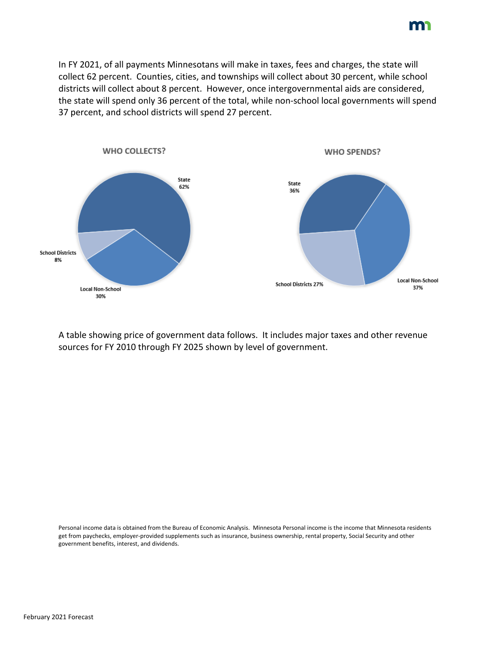In FY 2021, of all payments Minnesotans will make in taxes, fees and charges, the state will collect 62 percent. Counties, cities, and townships will collect about 30 percent, while school districts will collect about 8 percent. However, once intergovernmental aids are considered, the state will spend only 36 percent of the total, while non-school local governments will spend 37 percent, and school districts will spend 27 percent.



A table showing price of government data follows. It includes major taxes and other revenue sources for FY 2010 through FY 2025 shown by level of government.

Personal income data is obtained from the Bureau of Economic Analysis. Minnesota Personal income is the income that Minnesota residents get from paychecks, employer-provided supplements such as insurance, business ownership, rental property, Social Security and other government benefits, interest, and dividends.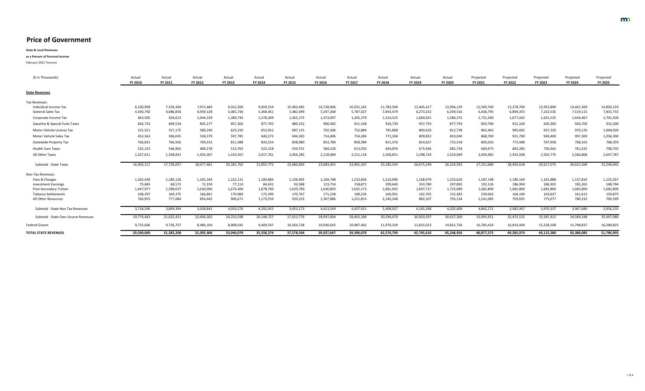| (\$ in Thousands)                         | Actual<br><b>FY 2010</b> | Actual<br><b>FY 2011</b> | Actual<br><b>FY 2012</b> | Actual<br><b>FY 2013</b> | Actual<br>FY 2014 | Actual<br><b>FY 2015</b> | Actual<br><b>FY 2016</b> | Actual<br>FY 2017 | Actual<br><b>FY 2018</b> | Actual<br>FY 2019 | Actual<br><b>FY 2020</b> | Projected<br><b>FY 2021</b> | Projected<br><b>FY 2022</b> | Projected<br><b>FY 2023</b> | Projected<br><b>FY 2024</b> | Projected<br><b>FY 2025</b> |
|-------------------------------------------|--------------------------|--------------------------|--------------------------|--------------------------|-------------------|--------------------------|--------------------------|-------------------|--------------------------|-------------------|--------------------------|-----------------------------|-----------------------------|-----------------------------|-----------------------------|-----------------------------|
| <b>State Revenues</b>                     |                          |                          |                          |                          |                   |                          |                          |                   |                          |                   |                          |                             |                             |                             |                             |                             |
| Tax Revenues:                             |                          |                          |                          |                          |                   |                          |                          |                   |                          |                   |                          |                             |                             |                             |                             |                             |
| Individual Income Tax                     | 6,530,958                | 7,529,204                | 7,972,460                | 9,012,500                | 9,659,554         | 10,403,481               | 10,738,906               | 10,931,165        | 11,783,500               | 12,405,417        | 12,094,129               | 12,569,700                  | 13,278,700                  | 13,953,800                  | 14,467,200                  | 14,800,210                  |
| <b>General Sales Tax</b>                  | 4,430,792                | 4,686,836                | 4,959,128                | 5,065,744                | 5,368,451         | 5,482,099                | 5,597,268                | 5,787,027         | 5,943,479                | 6,273,252         | 6,359,516                | 6,436,795                   | 6,894,355                   | 7,232,535                   | 7,519,115                   | 7,831,755                   |
| Corporate Income Tax                      | 663,505                  | 924,613                  | 1,044,159                | 1,280,743                | 1,278,209         | 1,455,275                | 1,473,097                | 1,205,379         | 1,314,525                | 1,660,015         | 1,580,275                | 1,731,340                   | 1,677,442                   | 1,625,525                   | 1,644,467                   | 1,701,509                   |
| <b>Gasoline &amp; Special Fuels Taxes</b> | 826,753                  | 849,534                  | 845,177                  | 857,362                  | 877,702           | 889,252                  | 900,382                  | 911,548           | 926,730                  | 937,793           | 877,793                  | 859,700                     | 912,100                     | 920,300                     | 926,700                     | 932,300                     |
| Motor Vehicle License Tax                 | 531,551                  | 557,175                  | 580,240                  | 623,210                  | 652,951           | 687,115                  | 702,306                  | 752,889           | 781,868                  | 803,633           | 812,738                  | 862,463                     | 905,692                     | 937,320                     | 970,120                     | 1,004,020                   |
| Motor Vehicle Sales Tax                   | 453,563                  | 506,035                  | 558,379                  | 597,785                  | 640,272           | 694,265                  | 714,496                  | 754,284           | 772,358                  | 809,852           | 810,040                  | 868,700                     | 921,700                     | 949,400                     | 997,300                     | 1,056,300                   |
| <b>Statewide Property Tax</b>             | 766,831                  | 766,926                  | 799,333                  | 811,388                  | 835,554           | 838,080                  | 853,780                  | 858,389           | 811,376                  | 810,627           | 753,318                  | 805,026                     | 773,408                     | 767,958                     | 768,163                     | 768,359                     |
| <b>Health Care Taxes</b>                  | 525,153                  | 546,903                  | 484,278                  | 513,763                  | 525,318           | 554,751                  | 584,236                  | 613,550           | 644,876                  | 675,936           | 682,734                  | 660,973                     | 693,283                     | 726,462                     | 761,635                     | 798,705                     |
| All Other Taxes                           | 1,327,011                | 1,358,831                | 1,434,307                | 1,419,267                | 2,017,761         | 2,056,285                | 2,118,984                | 2,151,116         | 2,206,831                | 2,298,724         | 2,254,049                | 2,456,983                   | 2,435,938                   | 2,503,775                   | 2,566,868                   | 2,647,787                   |
| <b>Subtotal - State Taxes</b>             | 16,056,117               | 17,726,057               | 18,677,461               | 20,181,762               | 21,855,772        | 23,060,603               | 23,683,455               | 23,965,347        | 25, 185, 543             | 26,675,249        | 26,224,592               | 27,251,680                  | 28,492,618                  | 29,617,075                  | 30,621,568                  | 31,540,945                  |
| Non-Tax Revenues:                         |                          |                          |                          |                          |                   |                          |                          |                   |                          |                   |                          |                             |                             |                             |                             |                             |
| Fees & Charges                            | 1,265,434                | 1,285,126                | 1,205,344                | 1,222,131                | 1,180,866         | 1,138,905                | 1,169,798                | 1,233,836         | 1,210,996                | 1,168,979         | 1,233,620                | 1,187,198                   | 1,189,169                   | 1,161,888                   | 1,157,810                   | 1,155,267                   |
| <b>Investment Earnings</b>                | 75,683                   | 68,572                   | 72,194                   | 77,114                   | 84,431            | 93,588                   | 123,734                  | 158,871           | 209,640                  | 333,780           | 297,892                  | 192,126                     | 186,994                     | 186,935                     | 185,265                     | 188,794                     |
| <b>Post-Secondary Tuition</b>             | 1,447,977                | 1,598,637                | 1,630,000                | 1,674,300                | 1,678,700         | 1,629,700                | 1,640,893                | 1,655,173         | 1,681,092                | 1,697,717         | 1,725,680                | 1,682,800                   | 1,682,800                   | 1,682,800                   | 1,682,800                   | 1,682,800                   |
| <b>Tobacco Settlements</b>                | 168,297                  | 169,375                  | 166,861                  | 170,060                  | 175,399           | 170,747                  | 171,238                  | 168,226           | 166,931                  | 162,765           | 152,282                  | 239,062                     | 164,109                     | 163,637                     | 161,613                     | 159,875                     |
| All Other Resources                       | 760,955                  | 777,684                  | 854,442                  | 906,671                  | 1,173,559         | 920,233                  | 1,307,886                | 1,221,815         | 2,140,268                | 882,107           | 793,134                  | 1,541,085                   | 759,835                     | 775,077                     | 780,192                     | 769,399                     |
| Subtotal - State Non Tax Revenues         | 3,718,346                | 3,899,394                | 3,928,841                | 4,050,276                | 4,292,955         | 3,953,173                | 4,413,549                | 4,437,921         | 5,408,927                | 4,245,348         | 4,202,608                | 4,842,271                   | 3,982,907                   | 3,970,337                   | 3,967,680                   | 3,956,135                   |
| Subtotal - State Own Source Revenues      | 19,774,463               | 21,625,451               | 22,606,302               | 24,232,038               | 26,148,727        | 27,013,776               | 28,097,004               | 28,403,268        | 30,594,470               | 30,920,597        | 30,427,200               | 32,093,951                  | 32,475,525                  | 33,587,412                  | 34,589,248                  | 35,497,080                  |
| <b>Federal Grants</b>                     | 9,725,606                | 9,756,757                | 8,486,104                | 8,808,041                | 9,409,547         | 10,564,728               | 10,930,643               | 10,987,402        | 11,976,329               | 11,825,013        | 14,821,726               | 16,783,424                  | 16,810,449                  | 15,528,168                  | 15,798,837                  | 16,289,825                  |
| <b>TOTAL STATE REVENUES</b>               | 29,500,069               | 31,382,208               | 31,092,406               | 33,040,079               | 35,558,274        | 37,578,504               | 39,027,647               | 39,390,670        | 42,570,799               | 42,745,610        | 45,248,926               | 48,877,375                  | 49,285,974                  | 49,115,580                  | 50,388,085                  | 51,786,905                  |
|                                           |                          |                          |                          |                          |                   |                          |                          |                   |                          |                   |                          |                             |                             |                             |                             |                             |

**State & Local Revenues**

**as a Percent of Personal Income**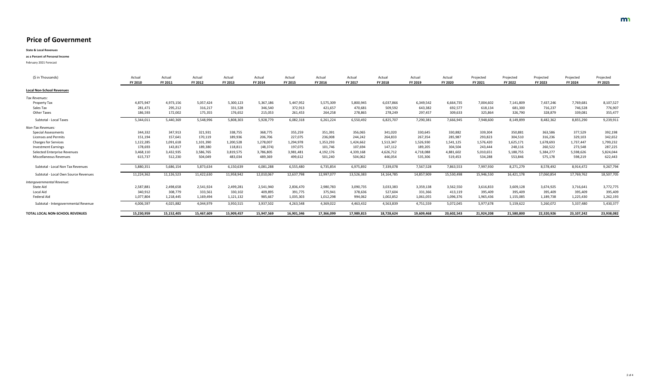**State & Local Revenues**

**as a Percent of Personal Income**

| (\$ in Thousands)                    | Actual<br><b>FY 2010</b> | Actual<br>FY 2011 | Actual<br>FY 2012 | Actual<br>FY 2013 | Actual<br>FY 2014 | Actual<br><b>FY 2015</b> | Actual<br><b>FY 2016</b> | Actual<br>FY 2017 | Actual<br><b>FY 2018</b> | Actual<br>FY 2019 | Actual<br><b>FY 2020</b> | Projected<br>FY 2021 | Projected<br><b>FY 2022</b> | Projected<br><b>FY 2023</b> | Projected<br><b>FY 2024</b> | Projected<br><b>FY 2025</b> |
|--------------------------------------|--------------------------|-------------------|-------------------|-------------------|-------------------|--------------------------|--------------------------|-------------------|--------------------------|-------------------|--------------------------|----------------------|-----------------------------|-----------------------------|-----------------------------|-----------------------------|
| <b>Local Non-School Revenues</b>     |                          |                   |                   |                   |                   |                          |                          |                   |                          |                   |                          |                      |                             |                             |                             |                             |
| Tax Revenues:                        |                          |                   |                   |                   |                   |                          |                          |                   |                          |                   |                          |                      |                             |                             |                             |                             |
| <b>Property Tax</b>                  | 4,875,947                | 4,973,156         | 5,057,424         | 5,300,123         | 5,367,186         | 5,447,952                | 5,575,309                | 5,800,945         | 6,037,866                | 6,349,542         | 6,664,735                | 7,004,602            | 7,141,809                   | 7,437,246                   | 7,769,681                   | 8,107,527                   |
| Sales Tax                            | 281,471                  | 295,212           | 316,217           | 331,528           | 346,540           | 372,913                  | 421,657                  | 470,681           | 509,592                  | 643,382           | 692,577                  | 618,134              | 681,300                     | 716,237                     | 746,528                     | 776,907                     |
| <b>Other Taxes</b>                   | 186,593                  | 172,002           | 175,355           | 176,652           | 215,053           | 261,453                  | 264,258                  | 278,865           | 278,249                  | 297,457           | 309,633                  | 325,864              | 326,790                     | 328,879                     | 339,081                     | 355,477                     |
| Subtotal - Local Taxes               | 5,344,011                | 5,440,369         | 5,548,996         | 5,808,303         | 5,928,779         | 6,082,318                | 6,261,224                | 6,550,492         | 6,825,707                | 7,290,381         | 7,666,945                | 7,948,600            | 8,149,899                   | 8,482,362                   | 8,855,290                   | 9,239,911                   |
| Non-Tax Revenues:                    |                          |                   |                   |                   |                   |                          |                          |                   |                          |                   |                          |                      |                             |                             |                             |                             |
| <b>Special Assessments</b>           | 344,332                  | 347,913           | 321,931           | 338,755           | 368,775           | 355,259                  | 351,391                  | 356,065           | 341,020                  | 330,645           | 330,882                  | 339,304              | 350,881                     | 363,586                     | 377,529                     | 392,198                     |
| <b>Licenses and Permits</b>          | 151,194                  | 157,641           | 170,119           | 189,936           | 206,706           | 227,075                  | 236,008                  | 244,242           | 264,833                  | 267,354           | 285,987                  | 293,823              | 304,510                     | 316,236                     | 329,103                     | 342,652                     |
| <b>Charges for Services</b>          | 1,122,285                | 1,091,618         | 1,101,390         | 1,200,528         | 1,278,007         | 1,294,978                | 1,353,293                | 1,424,662         | 1,513,347                | 1,526,930         | 1,541,125                | 1,576,420            | 1,625,171                   | 1,678,693                   | 1,737,447                   | 1,799,232                   |
| <b>Investment Earnings</b>           | 178,693                  | 143,817           | 189,380           | 118,811           | (48, 374)         | 197,075                  | 101,746                  | 107,694           | 147,112                  | 189,205           | 304,504                  | 243,444              | 248,116                     | 260,522                     | 273,548                     | 287,225                     |
| <b>Selected Enterprise Revenues</b>  | 3,468,110                | 3,432,935         | 3,586,765         | 3,819,575         | 3,786,805         | 3,981,481                | 4,192,176                | 4,339,168         | 4,626,712                | 4,718,088         | 4,881,602                | 5,010,651            | 5,188,755                   | 5,384,277                   | 5,598,626                   | 5,824,044                   |
| <b>Miscellaneous Revenues</b>        | 615,737                  | 512,230           | 504,049           | 483,034           | 489,369           | 499,612                  | 501,240                  | 504,062           | 446,054                  | 535,306           | 519,453                  | 534,288              | 553,846                     | 575,178                     | 598,219                     | 622,443                     |
| Subtotal - Local Non Tax Revenues    | 5,880,351                | 5,686,154         | 5,873,634         | 6,150,639         | 6,081,288         | 6,555,480                | 6,735,854                | 6,975,892         | 7,339,078                | 7,567,528         | 7,863,553                | 7,997,930            | 8,271,279                   | 8,578,492                   | 8,914,472                   | 9,267,794                   |
| Subtotal - Local Own Source Revenues | 11,224,362               | 11,126,523        | 11,422,630        | 11,958,942        | 12,010,067        | 12,637,798               | 12,997,077               | 13,526,383        | 14,164,785               | 14,857,909        | 15,530,498               | 15,946,530           | 16,421,178                  | 17,060,854                  | 17,769,762                  | 18,507,705                  |
| Intergovernmental Revenue:           |                          |                   |                   |                   |                   |                          |                          |                   |                          |                   |                          |                      |                             |                             |                             |                             |
| State Aid                            | 2,587,881                | 2,498,658         | 2,541,924         | 2,499,281         | 2,541,940         | 2,836,470                | 2,980,783                | 3,090,735         | 3,033,383                | 3,359,138         | 3,562,550                | 3,616,833            | 3,609,128                   | 3,674,925                   | 3,716,641                   | 3,772,775                   |
| Local Aid                            | 340,912                  | 308,779           | 333,561           | 330,102           | 409,895           | 391,775                  | 375,941                  | 378,636           | 527,604                  | 331,366           | 413,119                  | 395,409              | 395,409                     | 395,409                     | 395,409                     | 395,409                     |
| Federal Aid                          | 1,077,804                | 1,218,445         | 1,169,494         | 1,121,132         | 985,667           | 1,035,303                | 1,012,298                | 994,062           | 1,002,852                | 1,061,055         | 1,096,376                | 1,965,436            | 1,155,085                   | 1,189,738                   | 1,225,430                   | 1,262,193                   |
| Subtotal - Intergovernmental Revenue | 4,006,597                | 4,025,882         | 4,044,979         | 3,950,515         | 3,937,502         | 4,263,548                | 4,369,022                | 4,463,432         | 4,563,839                | 4,751,559         | 5,072,045                | 5,977,678            | 5,159,622                   | 5,260,072                   | 5,337,480                   | 5,430,377                   |
| TOTAL LOCAL NON-SCHOOL REVENUES      | 15,230,959               | 15,152,405        | 15,467,609        | 15,909,457        | 15,947,569        | 16,901,346               | 17,366,099               | 17,989,815        | 18,728,624               | 19,609,468        | 20,602,543               | 21,924,208           | 21,580,800                  | 22,320,926                  | 23,107,242                  | 23,938,082                  |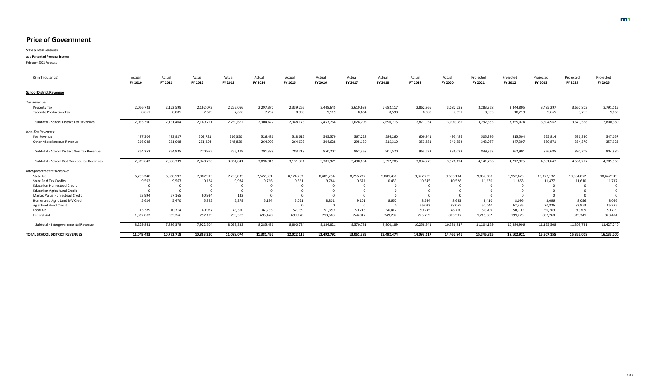**State & Local Revenues**

**as a Percent of Personal Income**

| (\$ in Thousands)                              | Actual<br>FY 2010 | Actual<br>FY 2011 | Actual<br><b>FY 2012</b> | Actual<br>FY 2013 | Actual<br>FY 2014 | Actual<br><b>FY 2015</b> | Actual<br><b>FY 2016</b> | Actual<br>FY 2017       | Actual<br><b>FY 2018</b> | Actual<br><b>FY 2019</b> | Actual<br><b>FY 2020</b> | Projected<br>FY 2021 | Projected<br><b>FY 2022</b> | Projected<br><b>FY 2023</b> | Projected<br>FY 2024 | Projected<br><b>FY 2025</b> |
|------------------------------------------------|-------------------|-------------------|--------------------------|-------------------|-------------------|--------------------------|--------------------------|-------------------------|--------------------------|--------------------------|--------------------------|----------------------|-----------------------------|-----------------------------|----------------------|-----------------------------|
| <b>School District Revenues</b>                |                   |                   |                          |                   |                   |                          |                          |                         |                          |                          |                          |                      |                             |                             |                      |                             |
| Tax Revenues:                                  |                   |                   |                          |                   |                   |                          |                          |                         |                          |                          |                          |                      |                             |                             |                      |                             |
| <b>Property Tax</b>                            | 2,056,723         | 2,122,599         | 2,162,072                | 2,262,056         | 2,297,370         | 2,339,265                | 2,448,645                | 2,619,632               | 2,682,117                | 2,862,966                | 3,082,235                | 3,283,358            | 3,344,805                   | 3,495,297                   | 3,660,803            | 3,791,115                   |
| <b>Taconite Production Tax</b>                 | 8,667             | 8,805             | 7,679                    | 7,606             | 7,257             | 8,908                    | 9,119                    | 8,664                   | 8,598                    | 8,088                    | 7,851                    | 8,995                | 10,219                      | 9,665                       | 9,765                | 9,865                       |
| <b>Subtotal - School District Tax Revenues</b> | 2,065,390         | 2,131,404         | 2,169,751                | 2,269,662         | 2,304,627         | 2,348,173                | 2,457,764                | 2,628,296               | 2,690,715                | 2,871,054                | 3,090,086                | 3,292,353            | 3,355,024                   | 3,504,962                   | 3,670,568            | 3,800,980                   |
| Non-Tax Revenues:                              |                   |                   |                          |                   |                   |                          |                          |                         |                          |                          |                          |                      |                             |                             |                      |                             |
| Fee Revenue                                    | 487,304           | 493,927           | 509,731                  | 516,350           | 526,486           | 518,615                  | 545,579                  | 567,228                 | 586,260                  | 609,841                  | 495,486                  | 505,396              | 515,504                     | 525,814                     | 536,330              | 547,057                     |
| <b>Other Miscellaneous Revenue</b>             | 266,948           | 261,008           | 261,224                  | 248,829           | 264,903           | 264,603                  | 304,628                  | 295,130                 | 315,310                  | 353,881                  | 340,552                  | 343,957              | 347,397                     | 350,871                     | 354,379              | 357,923                     |
| Subtotal - School District Non Tax Revenues    | 754,252           | 754,935           | 770,955                  | 765,179           | 791,389           | 783,218                  | 850,207                  | 862,358                 | 901,570                  | 963,722                  | 836,038                  | 849,353              | 862,901                     | 876,685                     | 890,709              | 904,980                     |
| Subtotal - School Dist Own Source Revenues     | 2,819,642         | 2,886,339         | 2,940,706                | 3,034,841         | 3,096,016         | 3,131,391                | 3,307,971                | 3,490,654               | 3,592,285                | 3,834,776                | 3,926,124                | 4,141,706            | 4,217,925                   | 4,381,647                   | 4,561,277            | 4,705,960                   |
| Intergovernmental Revenue:                     |                   |                   |                          |                   |                   |                          |                          |                         |                          |                          |                          |                      |                             |                             |                      |                             |
| <b>State Aid</b>                               | 6,755,240         | 6,868,597         | 7,007,915                | 7,285,035         | 7,527,881         | 8,124,733                | 8,401,294                | 8,756,732               | 9,081,450                | 9,377,205                | 9,605,194                | 9,857,008            | 9,952,623                   | 10,177,132                  | 10,334,022           | 10,447,949                  |
| <b>State Paid Tax Credits</b>                  | 9,592             | 9,567             | 10,184                   | 9,934             | 9,766             | 9,661                    | 9,784                    | 10,671                  | 10,453                   | 10,545                   | 10,528                   | 11,630               | 11,858                      | 11,477                      | 11,610               | 11,717                      |
| <b>Education Homestead Credit</b>              |                   |                   |                          |                   |                   |                          |                          | $\overline{0}$          |                          |                          |                          | $\overline{0}$       |                             | $\mathbf 0$                 |                      |                             |
| <b>Education Agricultural Credit</b>           |                   |                   |                          |                   |                   |                          |                          |                         |                          |                          |                          |                      |                             |                             |                      |                             |
| Market Value Homestead Credit                  | 53,994            | 57,165            | 60,934                   | 132               |                   |                          |                          |                         |                          |                          |                          |                      |                             |                             |                      |                             |
| Homestead Agric Land MV Credit                 | 5,624             | 5,470             | 5,345                    | 5,279             | 5,134             | 5,021                    | 8,801                    | 9,101                   | 8,667                    | 8,544                    | 8,683                    | 8,410                | 8,096                       | 8,096                       | 8,096                | 8,096                       |
| Ag School Bond Credit                          |                   |                   |                          |                   |                   |                          | - 0                      | $\overline{\mathbf{0}}$ |                          | 36,033                   | 38,055                   | 57,040               | 62,435                      | 70,826                      | 83,953               | 85,275                      |
| Local Aid                                      | 43,389            | 40,314            | 40,927                   | 43,350            | 47,235            | 52,039                   | 51,359                   | 50,215                  | 50,412                   | 50,245                   | 48,760                   | 50,709               | 50,709                      | 50,709                      | 50,709               | 50,709                      |
| Federal Aid                                    | 1,362,002         | 905,266           | 797,199                  | 709,503           | 695,420           | 699,270                  | 713,583                  | 744,012                 | 749,207                  | 775,769                  | 825,597                  | 1,219,362            | 799,275                     | 807,268                     | 815,341              | 823,494                     |
| Subtotal - Intergovernmental Revenue           | 8,229,841         | 7,886,379         | 7,922,504                | 8,053,233         | 8,285,436         | 8,890,724                | 9,184,821                | 9,570,731               | 9,900,189                | 10,258,341               | 10,536,817               | 11,204,159           | 10,884,996                  | 11,125,508                  | 11,303,731           | 11,427,240                  |
| <b>TOTAL SCHOOL DISTRICT REVENUES</b>          | 11,049,483        | 10,772,718        | 10,863,210               | 11,088,074        | 11,381,452        | 12,022,115               | 12,492,792               | 13,061,385              | 13,492,474               | 14,093,117               | 14,462,941               | 15,345,865           | 15,102,921                  | 15,507,155                  | 15,865,008           | 16,133,200                  |